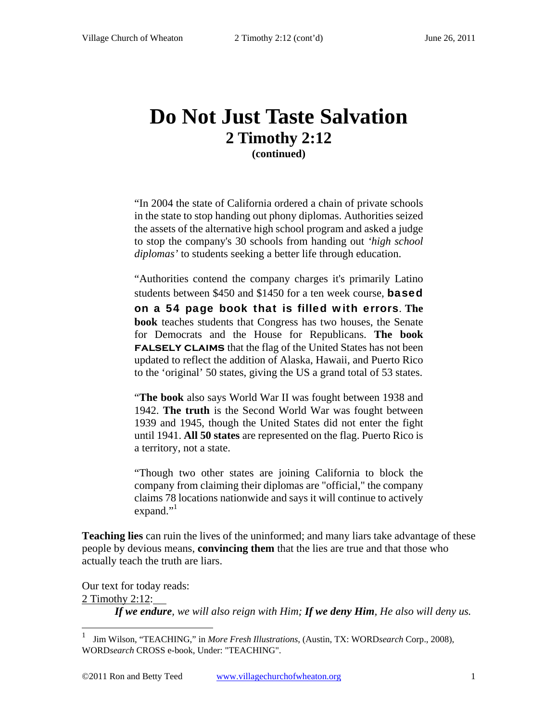## **Do Not Just Taste Salvation 2 Timothy 2:12 (continued)**

"In 2004 the state of California ordered a chain of private schools in the state to stop handing out phony diplomas. Authorities seized the assets of the alternative high school program and asked a judge to stop the company's 30 schools from handing out *'high school diplomas'* to students seeking a better life through education.

"Authorities contend the company charges it's primarily Latino students between \$450 and \$1450 for a ten week course. **based** 

on a 54 page book that is filled with errors. **The book** teaches students that Congress has two houses, the Senate for Democrats and the House for Republicans. **The book FALSELY CLAIMS** that the flag of the United States has not been updated to reflect the addition of Alaska, Hawaii, and Puerto Rico to the 'original' 50 states, giving the US a grand total of 53 states.

"**The book** also says World War II was fought between 1938 and 1942. **The truth** is the Second World War was fought between 1939 and 1945, though the United States did not enter the fight until 1941. **All 50 states** are represented on the flag. Puerto Rico is a territory, not a state.

"Though two other states are joining California to block the company from claiming their diplomas are "official," the company claims 78 locations nationwide and says it will continue to actively expand." $\cdot$ <sup>1</sup>

**Teaching lies** can ruin the lives of the uninformed; and many liars take advantage of these people by devious means, **convincing them** that the lies are true and that those who actually teach the truth are liars.

Our text for today reads: 2 Timothy 2:12: *If we endure, we will also reign with Him; If we deny Him, He also will deny us.* 

 $\overline{a}$ 

<sup>1</sup> Jim Wilson, "TEACHING," in *More Fresh Illustrations*, (Austin, TX: WORD*search* Corp., 2008), WORD*search* CROSS e-book, Under: "TEACHING".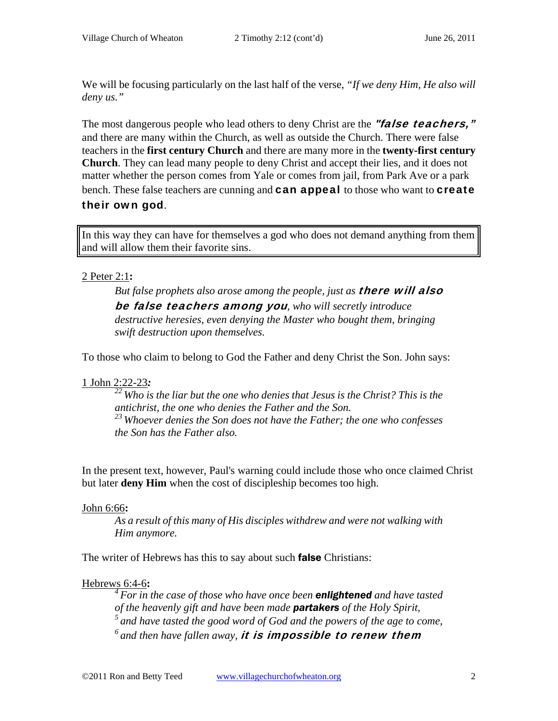We will be focusing particularly on the last half of the verse, *"If we deny Him, He also will deny us."* 

The most dangerous people who lead others to deny Christ are the "false teachers," and there are many within the Church, as well as outside the Church. There were false teachers in the **first century Church** and there are many more in the **twenty-first century Church**. They can lead many people to deny Christ and accept their lies, and it does not matter whether the person comes from Yale or comes from jail, from Park Ave or a park bench. These false teachers are cunning and **can appeal** to those who want to **create** their own god.

In this way they can have for themselves a god who does not demand anything from them and will allow them their favorite sins.

### 2 Peter 2:1**:**

But false prophets also arose among the people, just as **there will also** be false teachers among you*, who will secretly introduce destructive heresies, even denying the Master who bought them, bringing swift destruction upon themselves.* 

To those who claim to belong to God the Father and deny Christ the Son. John says:

### 1 John 2:22-23*:*

*22 Who is the liar but the one who denies that Jesus is the Christ? This is the antichrist, the one who denies the Father and the Son. 23 Whoever denies the Son does not have the Father; the one who confesses the Son has the Father also.* 

In the present text, however, Paul's warning could include those who once claimed Christ but later **deny Him** when the cost of discipleship becomes too high.

### John 6:66**:**

*As a result of this many of His disciples withdrew and were not walking with Him anymore.* 

The writer of Hebrews has this to say about such **false** Christians:

### Hebrews 6:4-6**:**

*4 For in the case of those who have once been enlightened and have tasted of the heavenly gift and have been made partakers of the Holy Spirit, 5 and have tasted the good word of God and the powers of the age to come, 6 and then have fallen away,* it is impossible to renew them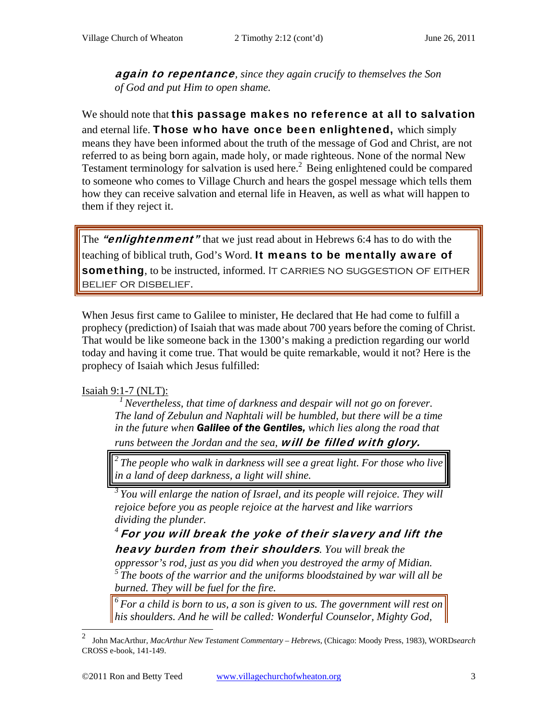again to repentance*, since they again crucify to themselves the Son of God and put Him to open shame.* 

We should note that this passage makes no reference at all to salvation and eternal life. Those who have once been enlightened, which simply means they have been informed about the truth of the message of God and Christ, are not referred to as being born again, made holy, or made righteous. None of the normal New Testament terminology for salvation is used here.<sup>2</sup> Being enlightened could be compared to someone who comes to Village Church and hears the gospel message which tells them how they can receive salvation and eternal life in Heaven, as well as what will happen to them if they reject it.

The "enlightenment" that we just read about in Hebrews 6:4 has to do with the teaching of biblical truth, God's Word. It means to be mentally aware of something, to be instructed, informed. IT CARRIES NO SUGGESTION OF EITHER belief or disbelief.

When Jesus first came to Galilee to minister, He declared that He had come to fulfill a prophecy (prediction) of Isaiah that was made about 700 years before the coming of Christ. That would be like someone back in the 1300's making a prediction regarding our world today and having it come true. That would be quite remarkable, would it not? Here is the prophecy of Isaiah which Jesus fulfilled:

#### Isaiah 9:1-7 (NLT):

*1 Nevertheless, that time of darkness and despair will not go on forever. The land of Zebulun and Naphtali will be humbled, but there will be a time in the future when Galilee of the Gentiles, which lies along the road that* 

runs between the Jordan and the sea, **will be filled with glory.** 

*2 The people who walk in darkness will see a great light. For those who live in a land of deep darkness, a light will shine.* 

<sup>3</sup> You will enlarge the nation of Israel, and its people will rejoice. They will *rejoice before you as people rejoice at the harvest and like warriors dividing the plunder.* 

*<sup>4</sup>*For you will break the yoke of their slavery and lift the heavy burden from their shoulders*. You will break the* 

*oppressor's rod, just as you did when you destroyed the army of Midian. 5 The boots of the warrior and the uniforms bloodstained by war will all be burned. They will be fuel for the fire.* 

*6 For a child is born to us, a son is given to us. The government will rest on his shoulders. And he will be called: Wonderful Counselor, Mighty God,* 

<sup>2</sup>  John MacArthur, *MacArthur New Testament Commentary – Hebrews*, (Chicago: Moody Press, 1983), WORD*search* CROSS e-book, 141-149.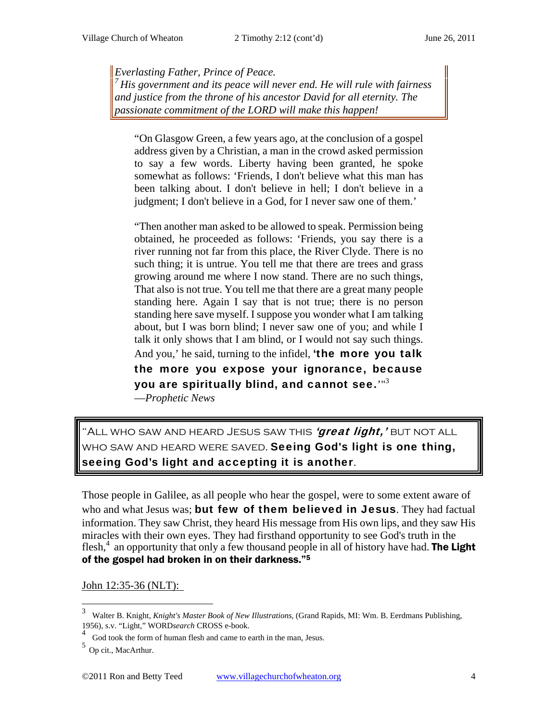*Everlasting Father, Prince of Peace. 7 His government and its peace will never end. He will rule with fairness and justice from the throne of his ancestor David for all eternity. The* 

*passionate commitment of the LORD will make this happen!* 

"On Glasgow Green, a few years ago, at the conclusion of a gospel address given by a Christian, a man in the crowd asked permission to say a few words. Liberty having been granted, he spoke somewhat as follows: 'Friends, I don't believe what this man has been talking about. I don't believe in hell; I don't believe in a judgment; I don't believe in a God, for I never saw one of them.'

"Then another man asked to be allowed to speak. Permission being obtained, he proceeded as follows: 'Friends, you say there is a river running not far from this place, the River Clyde. There is no such thing; it is untrue. You tell me that there are trees and grass growing around me where I now stand. There are no such things, That also is not true. You tell me that there are a great many people standing here. Again I say that is not true; there is no person standing here save myself. I suppose you wonder what I am talking about, but I was born blind; I never saw one of you; and while I talk it only shows that I am blind, or I would not say such things.

And you,' he said, turning to the infidel, 'the more you talk the more you expose your ignorance, because you are spiritually blind, and cannot see.'"3

—*Prophetic News*

"ALL WHO SAW AND HEARD JESUS SAW THIS *'great light,'* BUT NOT ALL WHO SAW AND HEARD WERE SAVED. Seeing God's light is one thing, seeing God's light and accepting it is another.

Those people in Galilee, as all people who hear the gospel, were to some extent aware of who and what Jesus was; but few of them believed in Jesus. They had factual information. They saw Christ, they heard His message from His own lips, and they saw His miracles with their own eyes. They had firsthand opportunity to see God's truth in the flesh,<sup>4</sup> an opportunity that only a few thousand people in all of history have had. **The Light** of the gospel had broken in on their darkness."5

John 12:35-36 (NLT):

 $\overline{a}$ 

<sup>3</sup> Walter B. Knight, *Knight's Master Book of New Illustrations*, (Grand Rapids, MI: Wm. B. Eerdmans Publishing, 1956), s.v. "Light," WORD*search* CROSS e-book.

<sup>&</sup>lt;sup>4</sup> God took the form of human flesh and came to earth in the man, Jesus.

<sup>5</sup> Op cit., MacArthur.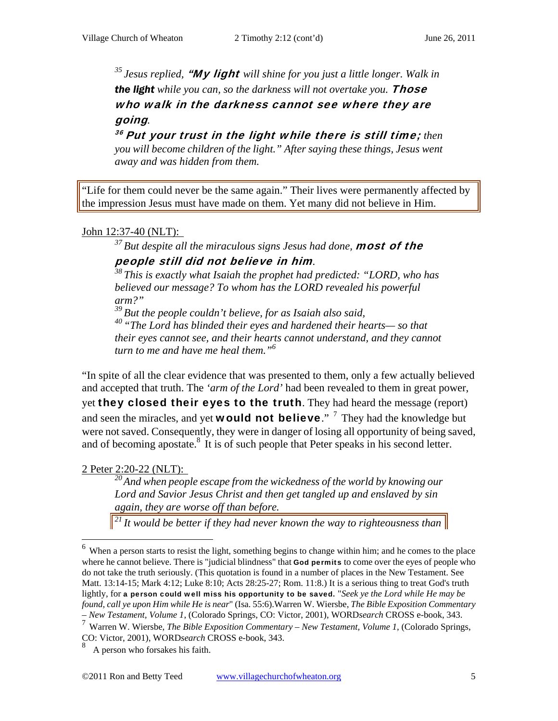*35 Jesus replied,* "My light *will shine for you just a little longer. Walk in*  **the light** while you can, so the darkness will not overtake you. **Those** who walk in the darkness cannot see where they are going*.* 

<sup>36</sup> Put your trust in the light while there is still time; then *you will become children of the light." After saying these things, Jesus went away and was hidden from them.* 

"Life for them could never be the same again." Their lives were permanently affected by the impression Jesus must have made on them. Yet many did not believe in Him.

### John 12:37-40 (NLT):

# <sup>37</sup> But despite all the miraculous signs Jesus had done, **most of the** people still did not believe in him*. 38 This is exactly what Isaiah the prophet had predicted: "LORD, who has*

*believed our message? To whom has the LORD revealed his powerful arm?"* 

*39 But the people couldn't believe, for as Isaiah also said,* 

*40 "The Lord has blinded their eyes and hardened their hearts— so that their eyes cannot see, and their hearts cannot understand, and they cannot turn to me and have me heal them."6*

"In spite of all the clear evidence that was presented to them, only a few actually believed and accepted that truth. The *'arm of the Lord'* had been revealed to them in great power, yet they closed their eyes to the truth. They had heard the message (report) and seen the miracles, and yet **would not believe**." <sup>7</sup> They had the knowledge but were not saved. Consequently, they were in danger of losing all opportunity of being saved, and of becoming apostate. $8\,$  It is of such people that Peter speaks in his second letter.

### 2 Peter 2:20-22 (NLT):

 $\overline{a}$ 

*20 And when people escape from the wickedness of the world by knowing our Lord and Savior Jesus Christ and then get tangled up and enslaved by sin again, they are worse off than before.* 

*21 It would be better if they had never known the way to righteousness than* 

 $6\,\mathrm{W}$  when a person starts to resist the light, something begins to change within him; and he comes to the place where he cannot believe. There is "judicial blindness" that **God permits** to come over the eyes of people who do not take the truth seriously. (This quotation is found in a number of places in the New Testament. See Matt. 13:14-15; Mark 4:12; Luke 8:10; Acts 28:25-27; Rom. 11:8.) It is a serious thing to treat God's truth lightly, for a person could well miss his opportunity to be saved. "*Seek ye the Lord while He may be found, call ye upon Him while He is near*" (Isa. 55:6).Warren W. Wiersbe, *The Bible Exposition Commentary* 

*<sup>–</sup> New Testament, Volume 1*, (Colorado Springs, CO: Victor, 2001), WORD*search* CROSS e-book, 343. 7 Warren W. Wiersbe, *The Bible Exposition Commentary – New Testament, Volume 1*, (Colorado Springs, CO: Victor, 2001), WORD*search* CROSS e-book, 343.

<sup>8</sup> A person who forsakes his faith.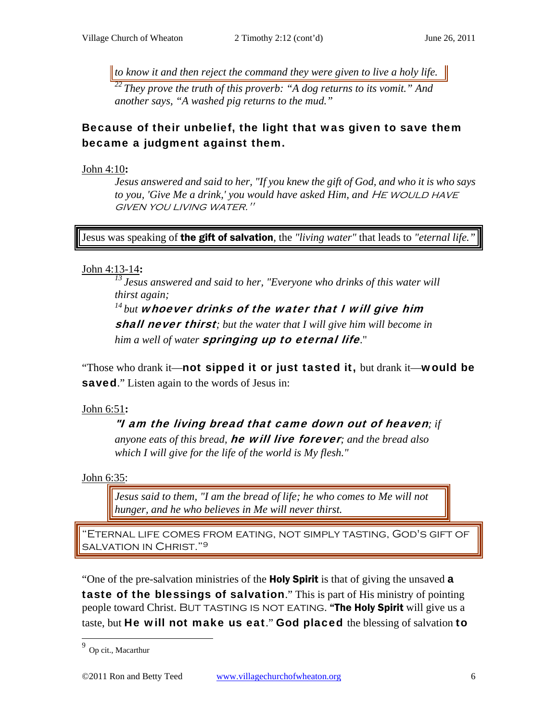*to know it and then reject the command they were given to live a holy life.* 

*22 They prove the truth of this proverb: "A dog returns to its vomit." And another says, "A washed pig returns to the mud."* 

### Because of their unbelief, the light that was given to save them became a judgment against them.

John 4:10**:** 

*Jesus answered and said to her, "If you knew the gift of God, and who it is who says*  to you, 'Give Me a drink,' you would have asked Him, and HE WOULD HAVE given you living water."

Jesus was speaking of the gift of salvation, the *"living water"* that leads to *"eternal life."*

### John 4:13-14**:**

*13 Jesus answered and said to her, "Everyone who drinks of this water will thirst again;* 

*14 but* whoever drinks of the water that I will give him shall never thirst*; but the water that I will give him will become in him a well of water* springing up to eternal life."

"Those who drank it—not sipped it or just tasted it, but drank it—would be **saved.**" Listen again to the words of Jesus in:

### John 6:51**:**

"I am the living bread that came down out of heaven*; if anyone eats of this bread,* he will live forever*; and the bread also which I will give for the life of the world is My flesh."* 

John 6:35:

*Jesus said to them, "I am the bread of life; he who comes to Me will not hunger, and he who believes in Me will never thirst.* 

"Eternal life comes from eating, not simply tasting, God's gift of salvation in Christ."9

"One of the pre-salvation ministries of the **Holy Spirit** is that of giving the unsaved **a** taste of the blessings of salvation." This is part of His ministry of pointing people toward Christ. BUT TASTING IS NOT EATING. "The Holy Spirit will give us a taste, but He will not make us eat." God placed the blessing of salvation to

<sup>&</sup>lt;sup>9</sup> Op cit., Macarthur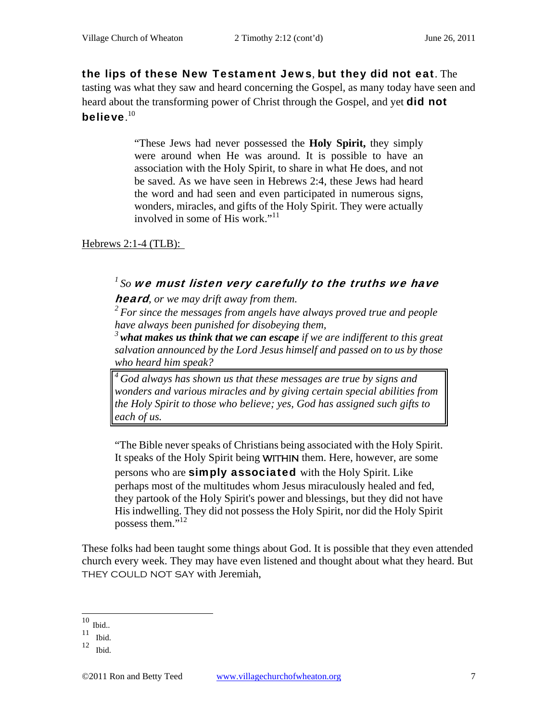the lips of these New Testament Jews, but they did not eat. The tasting was what they saw and heard concerning the Gospel, as many today have seen and heard about the transforming power of Christ through the Gospel, and yet **did not** believe. $^{\rm 10}$ 

> "These Jews had never possessed the **Holy Spirit,** they simply were around when He was around. It is possible to have an association with the Holy Spirit, to share in what He does, and not be saved. As we have seen in Hebrews 2:4, these Jews had heard the word and had seen and even participated in numerous signs, wonders, miracles, and gifts of the Holy Spirit. They were actually involved in some of His work." $11$

Hebrews 2:1-4 (TLB):

## *1 So* we must listen very carefully to the truths we have

heard*, or we may drift away from them.* 

*2 For since the messages from angels have always proved true and people have always been punished for disobeying them,* 

*<sup>3</sup>what makes us think that we can escape if we are indifferent to this great salvation announced by the Lord Jesus himself and passed on to us by those who heard him speak?* 

*4 God always has shown us that these messages are true by signs and wonders and various miracles and by giving certain special abilities from the Holy Spirit to those who believe; yes, God has assigned such gifts to each of us.* 

"The Bible never speaks of Christians being associated with the Holy Spirit. It speaks of the Holy Spirit being WITHIN them. Here, however, are some persons who are **simply associated** with the Holy Spirit. Like perhaps most of the multitudes whom Jesus miraculously healed and fed, they partook of the Holy Spirit's power and blessings, but they did not have His indwelling. They did not possess the Holy Spirit, nor did the Holy Spirit possess them."<sup>12</sup>

These folks had been taught some things about God. It is possible that they even attended church every week. They may have even listened and thought about what they heard. But THEY COULD NOT SAY with Jeremiah,

 $\overline{a}$ 

 $10$  Ibid..

 $11$  Ibid.

<sup>12</sup> Ibid.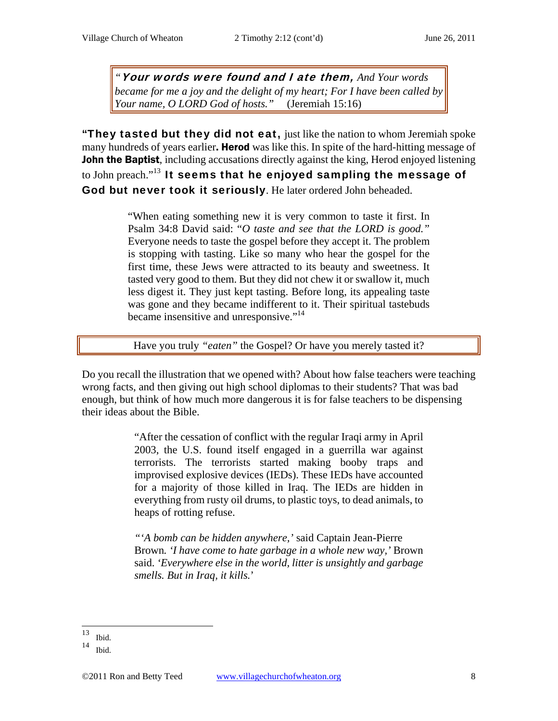*"*Your words were found and I ate them, *And Your words became for me a joy and the delight of my heart; For I have been called by Your name, O LORD God of hosts."* (Jeremiah 15:16)

"They tasted but they did not eat, just like the nation to whom Jeremiah spoke many hundreds of years earlier. **Herod** was like this. In spite of the hard-hitting message of **John the Baptist**, including accusations directly against the king, Herod enjoyed listening to John preach."<sup>13</sup> It seems that he enjoyed sampling the message of God but never took it seriously. He later ordered John beheaded.

> "When eating something new it is very common to taste it first. In Psalm 34:8 David said: "*O taste and see that the LORD is good."*  Everyone needs to taste the gospel before they accept it. The problem is stopping with tasting. Like so many who hear the gospel for the first time, these Jews were attracted to its beauty and sweetness. It tasted very good to them. But they did not chew it or swallow it, much less digest it. They just kept tasting. Before long, its appealing taste was gone and they became indifferent to it. Their spiritual tastebuds became insensitive and unresponsive."<sup>14</sup>

Have you truly "eaten" the Gospel? Or have you merely tasted it?

Do you recall the illustration that we opened with? About how false teachers were teaching wrong facts, and then giving out high school diplomas to their students? That was bad enough, but think of how much more dangerous it is for false teachers to be dispensing their ideas about the Bible.

> "After the cessation of conflict with the regular Iraqi army in April 2003, the U.S. found itself engaged in a guerrilla war against terrorists. The terrorists started making booby traps and improvised explosive devices (IEDs). These IEDs have accounted for a majority of those killed in Iraq. The IEDs are hidden in everything from rusty oil drums, to plastic toys, to dead animals, to heaps of rotting refuse.

> *"'A bomb can be hidden anywhere,'* said Captain Jean-Pierre Brown*. 'I have come to hate garbage in a whole new way,'* Brown said. *'Everywhere else in the world, litter is unsightly and garbage smells. But in Iraq, it kills.*'

<sup>13</sup> Ibid.

<sup>14</sup> Ibid.